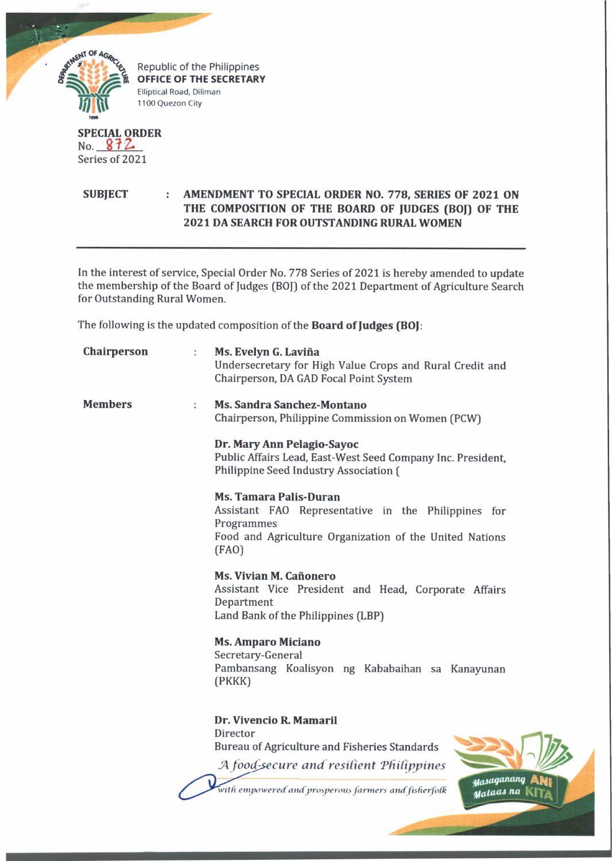

## **SPECIAL ORDER** No.  $812$ Series of 2021

## **SUBJECT : AMENDMENT TO SPECIAL ORDER NO. 778, SERIES OF 2021 ON THE COMPOSITION OF THE BOARD OF JUDGES (BOJ) OF THE 2021 DA SEARCH FOR OUTSTANDING RURAL WOMEN**

In the interest of service, Special Order No. 778 Series of 2021 is hereby amended to update the membership of the Board of Judges (BOJ) of the 2021 Department of Agriculture Search for Outstanding Rural Women.

The following is the updated composition of the **Board of Judges (BOJ:**

| Chairperson    | Ms. Evelyn G. Laviña<br>$\ddot{\phantom{a}}$<br>Undersecretary for High Value Crops and Rural Credit and<br>Chairperson, DA GAD Focal Point System                     |
|----------------|------------------------------------------------------------------------------------------------------------------------------------------------------------------------|
| <b>Members</b> | Ms. Sandra Sanchez-Montano<br>Chairperson, Philippine Commission on Women (PCW)                                                                                        |
|                | Dr. Mary Ann Pelagio-Sayoc<br>Public Affairs Lead, East-West Seed Company Inc. President,<br>Philippine Seed Industry Association (                                    |
|                | <b>Ms. Tamara Palis-Duran</b><br>Assistant FAO Representative in the Philippines for<br>Programmes<br>Food and Agriculture Organization of the United Nations<br>(FAO) |
|                | Ms. Vivian M. Cañonero<br>Assistant Vice President and Head, Corporate Affairs<br>Department<br>Land Bank of the Philippines (LBP)                                     |
|                | <b>Ms. Amparo Miciano</b><br>Secretary-General<br>Pambansang Koalisyon ng Kababaihan sa Kanayunan<br>(PKKK)                                                            |
|                | Dr. Vivencio R. Mamaril<br>Director<br>Bureau of Agriculture and Fisheries Standards<br>A food-secure and resilient Philippines<br>Masaganang                          |
|                | with empowered and prosperous farmers and fisherfolk<br>uataas                                                                                                         |